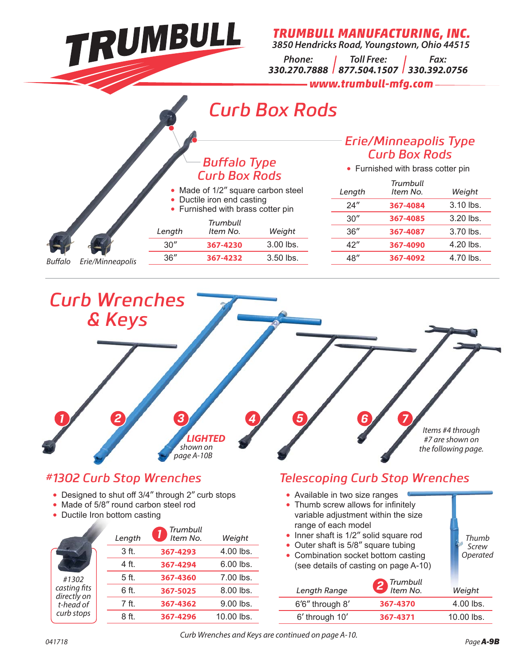

 $\bullet$ 

O

*TRUMBULL MANUFACTURING, INC. 3850 Hendricks Road, Youngstown, Ohio 44515*

*Phone: 330.270.7888 877.504.1507 330.392.0756 Toll Free: Fax:*

> - www.trumbull-mfa.com *www.trumbull-mfg.com*

# *Curb Box Rods*

#### *Erie/Minneapolis Type Curb Box Rods*

| Length | Trumbull<br>Item No. | Weight      |
|--------|----------------------|-------------|
| 24''   | 367-4084             | $3.10$ lbs. |
| 30''   | 367-4085             | $3.20$ lbs. |
| 36''   | 367-4087             | $3.70$ lbs. |
| 42''   | 367-4090             | 4.20 lbs.   |
| 48″    | 367-4092             | 4.70 lbs.   |

### • Furnished with brass cotter pin *Buff alo Type Curb Box Rods*

- Made of 1/2" square carbon steel<br>• Ductile iron end casting • Ductile iron end casting
	- Furnished with brass cotter pin

|        | Length | Trumbull<br>Item No. | Weight      |
|--------|--------|----------------------|-------------|
|        | 30''   | 367-4230             | $3.00$ lbs. |
| .<br>c | 36''   | 367-4232             | $3.50$ lbs. |

Buffalo Erie/Minneapolis



## *#1302 Curb Stop Wrenches*

- Designed to shut off 3/4" through 2" curb stops
- Made of 5/8" round carbon steel rod
- Ductile Iron bottom casting

|                             | Length | Trumbull<br>Item No. | Weight      |
|-----------------------------|--------|----------------------|-------------|
|                             | 3 ft.  | 367-4293             | 4.00 lbs.   |
|                             | 4 ft.  | 367-4294             | $6.00$ lbs. |
| #1302                       | 5 ft.  | 367-4360             | 7.00 lbs.   |
| casting fits<br>directly on | 6 ft.  | 367-5025             | $8.00$ lbs. |
| t-head of                   | 7 ft.  | 367-4362             | 9.00 lbs.   |
| curb stops                  | 8 ft.  | 367-4296             | 10.00 lbs.  |

## *Telescoping Curb Stop Wrenches*

| • Available in two size ranges<br>• Thumb screw allows for infinitely<br>variable adjustment within the size<br>range of each model<br>• Inner shaft is 1/2" solid square rod<br>• Outer shaft is 5/8" square tubing<br>• Combination socket bottom casting<br>(see details of casting on page A-10) | Trumbull | Thumb<br>Screw<br>Operated |
|------------------------------------------------------------------------------------------------------------------------------------------------------------------------------------------------------------------------------------------------------------------------------------------------------|----------|----------------------------|
| Length Range                                                                                                                                                                                                                                                                                         | Item No. | Weight                     |
| 6'6" through 8'                                                                                                                                                                                                                                                                                      | 367-4370 | 4.00 lbs.                  |
| 6' through 10'                                                                                                                                                                                                                                                                                       | 367-4371 | 10.00 lbs.                 |